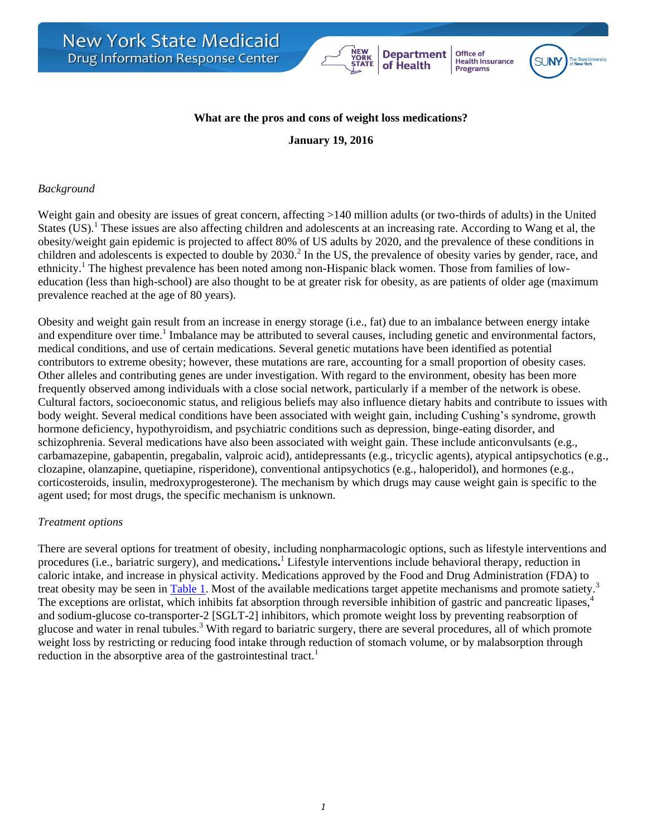#### **What are the pros and cons of weight loss medications?**

**Department** 

of Health

Office of

Health Insurance<br>Programs

**January 19, 2016**

#### *Background*

Weight gain and obesity are issues of great concern, affecting >140 million adults (or two-thirds of adults) in the United States (US).<sup>1</sup> These issues are also affecting children and adolescents at an increasing rate. According to Wang et al, the obesity/weight gain epidemic is projected to affect 80% of US adults by 2020, and the prevalence of these conditions in children and adolescents is expected to double by 2030.<sup>2</sup> In the US, the prevalence of obesity varies by gender, race, and ethnicity.<sup>1</sup> The highest prevalence has been noted among non-Hispanic black women. Those from families of loweducation (less than high-school) are also thought to be at greater risk for obesity, as are patients of older age (maximum prevalence reached at the age of 80 years).

Obesity and weight gain result from an increase in energy storage (i.e., fat) due to an imbalance between energy intake and expenditure over time.<sup>1</sup> Imbalance may be attributed to several causes, including genetic and environmental factors, medical conditions, and use of certain medications. Several genetic mutations have been identified as potential contributors to extreme obesity; however, these mutations are rare, accounting for a small proportion of obesity cases. Other alleles and contributing genes are under investigation. With regard to the environment, obesity has been more frequently observed among individuals with a close social network, particularly if a member of the network is obese. Cultural factors, socioeconomic status, and religious beliefs may also influence dietary habits and contribute to issues with body weight. Several medical conditions have been associated with weight gain, including Cushing's syndrome, growth hormone deficiency, hypothyroidism, and psychiatric conditions such as depression, binge-eating disorder, and schizophrenia. Several medications have also been associated with weight gain. These include anticonvulsants (e.g., carbamazepine, gabapentin, pregabalin, valproic acid), antidepressants (e.g., tricyclic agents), atypical antipsychotics (e.g., clozapine, olanzapine, quetiapine, risperidone), conventional antipsychotics (e.g., haloperidol), and hormones (e.g., corticosteroids, insulin, medroxyprogesterone). The mechanism by which drugs may cause weight gain is specific to the agent used; for most drugs, the specific mechanism is unknown.

#### *Treatment options*

<span id="page-0-0"></span>There are several options for treatment of obesity, including nonpharmacologic options, such as lifestyle interventions and procedures (i.e., bariatric surgery), and medications**.** <sup>1</sup> Lifestyle interventions include behavioral therapy, reduction in caloric intake, and increase in physical activity. Medications approved by the Food and Drug Administration (FDA) to treat obesity may be seen in [Table 1.](#page-0-0) Most of the available medications target appetite mechanisms and promote satiety.<sup>3</sup> The exceptions are orlistat, which inhibits fat absorption through reversible inhibition of gastric and pancreatic lipases,<sup>4</sup> and sodium-glucose co-transporter-2 [SGLT-2] inhibitors, which promote weight loss by preventing reabsorption of glucose and water in renal tubules.<sup>3</sup> With regard to bariatric surgery, there are several procedures, all of which promote weight loss by restricting or reducing food intake through reduction of stomach volume, or by malabsorption through reduction in the absorptive area of the gastrointestinal tract.<sup>1</sup>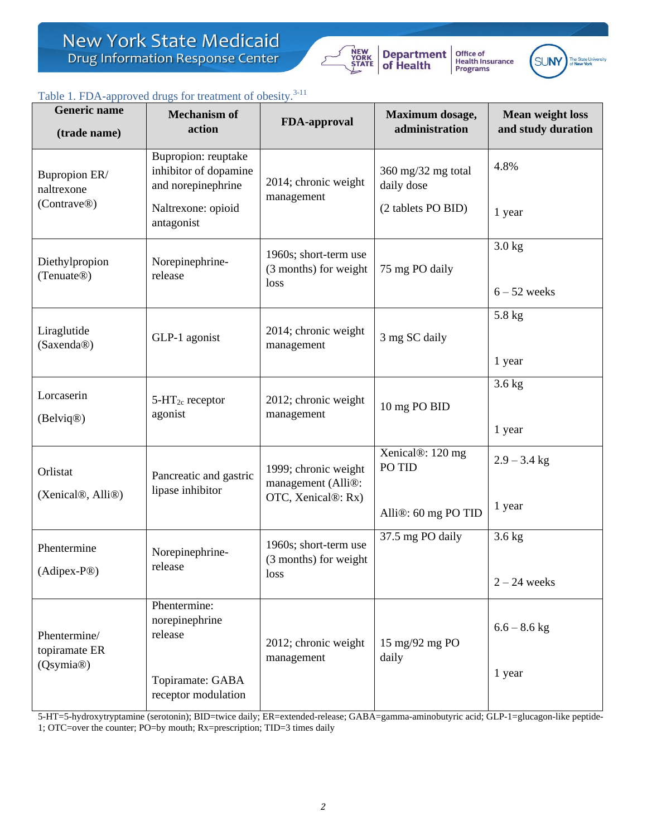

**Department**<br>of Health Office of<br>Health Insurance<br>Programs



## Table 1. FDA-approved drugs for treatment of obesity.<sup>3-11</sup>

| <b>Generic name</b><br>(trade name)                    | $\alpha$ . The upproved drugs for deuthelit of obesity.<br><b>Mechanism of</b><br>action | <b>FDA-approval</b>                                                      | Maximum dosage,<br>administration | <b>Mean weight loss</b><br>and study duration |
|--------------------------------------------------------|------------------------------------------------------------------------------------------|--------------------------------------------------------------------------|-----------------------------------|-----------------------------------------------|
| Bupropion ER/<br>naltrexone<br>(Contrave®)             | Bupropion: reuptake<br>inhibitor of dopamine<br>and norepinephrine                       | 2014; chronic weight<br>management                                       | 360 mg/32 mg total<br>daily dose  | 4.8%                                          |
|                                                        | Naltrexone: opioid<br>antagonist                                                         |                                                                          | (2 tablets PO BID)                | 1 year                                        |
| Diethylpropion<br>(Tenuate <sup>®)</sup>               | Norepinephrine-<br>release                                                               | 1960s; short-term use<br>(3 months) for weight<br>75 mg PO daily<br>loss | $3.0$ kg                          |                                               |
|                                                        |                                                                                          |                                                                          |                                   | $6 - 52$ weeks                                |
|                                                        |                                                                                          |                                                                          | 3 mg SC daily                     | 5.8 kg                                        |
| Liraglutide<br>(Saxenda®)                              | GLP-1 agonist                                                                            | 2014; chronic weight<br>management                                       |                                   |                                               |
|                                                        |                                                                                          |                                                                          |                                   | 1 year                                        |
| Lorcaserin                                             | $5-HT_{2c}$ receptor                                                                     | 2012; chronic weight                                                     |                                   | $3.6$ kg                                      |
| (Belviq <sup>®</sup> )                                 | agonist                                                                                  | management                                                               | 10 mg PO BID                      | 1 year                                        |
| Orlistat                                               | Pancreatic and gastric                                                                   | 1999; chronic weight                                                     | Xenical®: 120 mg<br>PO TID        | $2.9 - 3.4$ kg                                |
| (Xenical®, Alli®)                                      | lipase inhibitor                                                                         | management (Alli®:<br>OTC, Xenical®: Rx)                                 | Alli®: 60 mg PO TID               | 1 year                                        |
| Phentermine                                            | Norepinephrine-                                                                          | 1960s; short-term use                                                    | 37.5 mg PO daily                  | $3.6$ kg                                      |
| (Adipex-P®)                                            | release                                                                                  | (3 months) for weight<br>loss                                            |                                   | $2 - 24$ weeks                                |
| Phentermine/<br>topiramate ER<br>(Qsymia <sup>®)</sup> | Phentermine:<br>norepinephrine<br>release                                                | 2012; chronic weight                                                     | 15 mg/92 mg PO<br>daily           | $6.6 - 8.6$ kg                                |
|                                                        | Topiramate: GABA<br>receptor modulation                                                  | management                                                               |                                   | 1 year                                        |

5-HT=5-hydroxytryptamine (serotonin); BID=twice daily; ER=extended-release; GABA=gamma-aminobutyric acid; GLP-1=glucagon-like peptide-1; OTC=over the counter; PO=by mouth; Rx=prescription; TID=3 times daily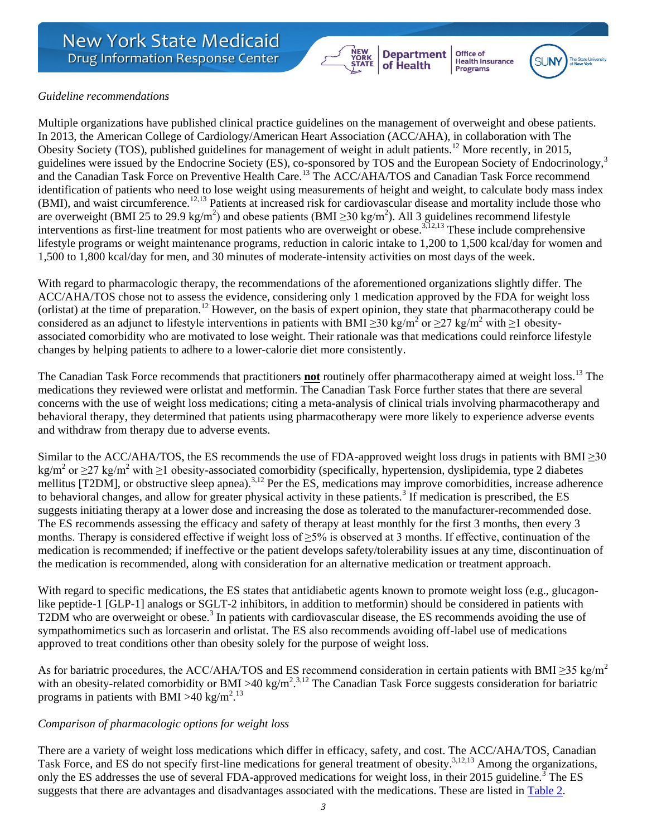

Office of<br>Health Insurance<br>Programs **Department** of Health



#### *Guideline recommendations*

Multiple organizations have published clinical practice guidelines on the management of overweight and obese patients. In 2013, the American College of Cardiology/American Heart Association (ACC/AHA), in collaboration with The Obesity Society (TOS), published guidelines for management of weight in adult patients.<sup>12</sup> More recently, in 2015, guidelines were issued by the Endocrine Society (ES), co-sponsored by TOS and the European Society of Endocrinology,<sup>3</sup> and the Canadian Task Force on Preventive Health Care.<sup>13</sup> The ACC/AHA/TOS and Canadian Task Force recommend identification of patients who need to lose weight using measurements of height and weight, to calculate body mass index (BMI), and waist circumference.<sup>12,13</sup> Patients at increased risk for cardiovascular disease and mortality include those who are overweight (BMI 25 to 29.9 kg/m<sup>2</sup>) and obese patients (BMI  $\geq$ 30 kg/m<sup>2</sup>). All 3 guidelines recommend lifestyle interventions as first-line treatment for most patients who are overweight or obese.<sup>3,12,13</sup> These include comprehensive lifestyle programs or weight maintenance programs, reduction in caloric intake to 1,200 to 1,500 kcal/day for women and 1,500 to 1,800 kcal/day for men, and 30 minutes of moderate-intensity activities on most days of the week.

With regard to pharmacologic therapy, the recommendations of the aforementioned organizations slightly differ. The ACC/AHA/TOS chose not to assess the evidence, considering only 1 medication approved by the FDA for weight loss (orlistat) at the time of preparation.<sup>12</sup> However, on the basis of expert opinion, they state that pharmacotherapy could be considered as an adjunct to lifestyle interventions in patients with BMI  $\geq$ 30 kg/m<sup>2</sup> or  $\geq$ 27 kg/m<sup>2</sup> with  $\geq$ 1 obesityassociated comorbidity who are motivated to lose weight. Their rationale was that medications could reinforce lifestyle changes by helping patients to adhere to a lower-calorie diet more consistently.

The Canadian Task Force recommends that practitioners **not** routinely offer pharmacotherapy aimed at weight loss.<sup>13</sup> The medications they reviewed were orlistat and metformin. The Canadian Task Force further states that there are several concerns with the use of weight loss medications; citing a meta-analysis of clinical trials involving pharmacotherapy and behavioral therapy, they determined that patients using pharmacotherapy were more likely to experience adverse events and withdraw from therapy due to adverse events.

Similar to the ACC/AHA/TOS, the ES recommends the use of FDA-approved weight loss drugs in patients with BMI  $\geq$ 30  $\text{kg/m}^2$  or  $\geq$  27 kg/m<sup>2</sup> with  $\geq$ 1 obesity-associated comorbidity (specifically, hypertension, dyslipidemia, type 2 diabetes mellitus [T2DM], or obstructive sleep apnea).<sup>3,12</sup> Per the ES, medications may improve comorbidities, increase adherence to behavioral changes, and allow for greater physical activity in these patients.<sup>3</sup> If medication is prescribed, the ES suggests initiating therapy at a lower dose and increasing the dose as tolerated to the manufacturer-recommended dose. The ES recommends assessing the efficacy and safety of therapy at least monthly for the first 3 months, then every 3 months. Therapy is considered effective if weight loss of  $\geq$ 5% is observed at 3 months. If effective, continuation of the medication is recommended; if ineffective or the patient develops safety/tolerability issues at any time, discontinuation of the medication is recommended, along with consideration for an alternative medication or treatment approach.

With regard to specific medications, the ES states that antidiabetic agents known to promote weight loss (e.g., glucagonlike peptide-1 [GLP-1] analogs or SGLT-2 inhibitors, in addition to metformin) should be considered in patients with T2DM who are overweight or obese.<sup>3</sup> In patients with cardiovascular disease, the ES recommends avoiding the use of sympathomimetics such as lorcaserin and orlistat. The ES also recommends avoiding off-label use of medications approved to treat conditions other than obesity solely for the purpose of weight loss.

As for bariatric procedures, the ACC/AHA/TOS and ES recommend consideration in certain patients with BMI  $\geq$ 35 kg/m<sup>2</sup> with an obesity-related comorbidity or BMI >40 kg/m<sup>2,3,12</sup> The Canadian Task Force suggests consideration for bariatric programs in patients with BMI > 40 kg/m<sup>2</sup>.<sup>13</sup>

#### *Comparison of pharmacologic options for weight loss*

There are a variety of weight loss medications which differ in efficacy, safety, and cost. The ACC/AHA/TOS, Canadian Task Force, and ES do not specify first-line medications for general treatment of obesity.<sup>3,12,13</sup> Among the organizations, only the ES addresses the use of several FDA-approved medications for weight loss, in their 2015 guideline.<sup>3</sup> The ES suggests that there are advantages and disadvantages associated with the medications. These are listed in [Table 2.](#page-3-0)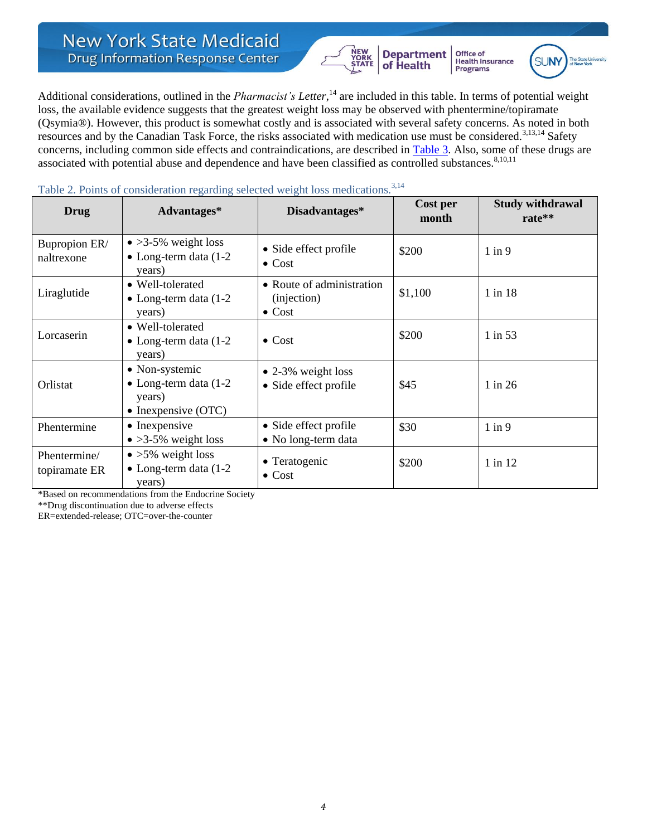# **New York State Medicaid Drug Information Response Center**



**Department**<br>of Health Office of Health Insurance<br>Programs



Additional considerations, outlined in the *Pharmacist's Letter*, <sup>14</sup> are included in this table. In terms of potential weight loss, the available evidence suggests that the greatest weight loss may be observed with phentermine/topiramate (Qsymia®). However, this product is somewhat costly and is associated with several safety concerns. As noted in both resources and by the Canadian Task Force, the risks associated with medication use must be considered.<sup>3,13,14</sup> Safety concerns, including common side effects and contraindications, are described in [Table 3.](#page-3-1) Also, some of these drugs are associated with potential abuse and dependence and have been classified as controlled substances.<sup>8,10,11</sup>

| Drug                          | Advantages*                                                                               | Disadvantages*                                             | Cost per<br>month | <b>Study withdrawal</b><br>rate** |
|-------------------------------|-------------------------------------------------------------------------------------------|------------------------------------------------------------|-------------------|-----------------------------------|
| Bupropion ER/<br>naltrexone   | $\bullet$ >3-5% weight loss<br>$\bullet$ Long-term data (1-2)<br>years)                   | • Side effect profile<br>$\bullet$ Cost                    | \$200             | $1$ in $9$                        |
| Liraglutide                   | • Well-tolerated<br>• Long-term data $(1-2)$<br>years)                                    | • Route of administration<br>(injection)<br>$\bullet$ Cost | \$1,100           | 1 in 18                           |
| Lorcaserin                    | • Well-tolerated<br>• Long-term data $(1-2)$<br>years)                                    | $\bullet$ Cost                                             | \$200             | 1 in 53                           |
| Orlistat                      | • Non-systemic<br>$\bullet$ Long-term data (1-2)<br>years)<br>$\bullet$ Inexpensive (OTC) | $\bullet$ 2-3% weight loss<br>• Side effect profile        | \$45              | $1$ in 26                         |
| Phentermine                   | $\bullet$ Inexpensive<br>$\bullet$ >3-5% weight loss                                      | • Side effect profile<br>• No long-term data               | \$30              | $1$ in $9$                        |
| Phentermine/<br>topiramate ER | $\bullet$ >5% weight loss<br>$\bullet$ Long-term data (1-2)<br>years)                     | • Teratogenic<br>$\bullet$ Cost                            | \$200             | 1 in 12                           |

<span id="page-3-0"></span>Table 2. Points of consideration regarding selected weight loss medications.<sup>3,14</sup>

\*Based on recommendations from the Endocrine Society

\*\*Drug discontinuation due to adverse effects

<span id="page-3-1"></span>ER=extended-release; OTC=over-the-counter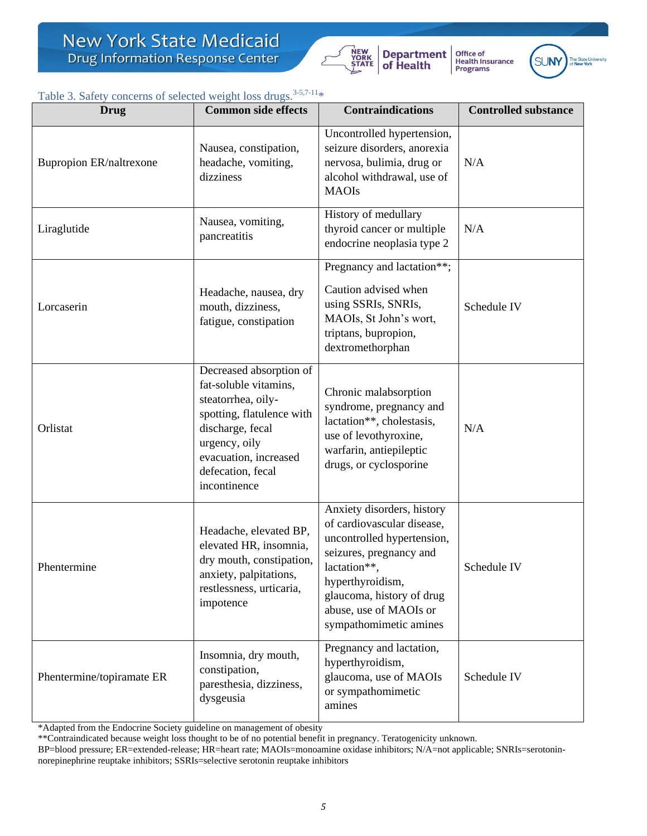

**Department**<br>of Health Office of<br>Health Insurance<br>Programs



# Table 3. Safety concerns of selected weight loss drugs.<sup>3-5,7-11</sup>\*

| Drug                                                                                                                                                           | <b>Common side effects</b>                                                                                                                                                                             | <b>Contraindications</b>                                                                                                                                                                                                               | <b>Controlled substance</b> |
|----------------------------------------------------------------------------------------------------------------------------------------------------------------|--------------------------------------------------------------------------------------------------------------------------------------------------------------------------------------------------------|----------------------------------------------------------------------------------------------------------------------------------------------------------------------------------------------------------------------------------------|-----------------------------|
| <b>Bupropion ER/naltrexone</b>                                                                                                                                 | Nausea, constipation,<br>headache, vomiting,<br>dizziness                                                                                                                                              | Uncontrolled hypertension,<br>seizure disorders, anorexia<br>nervosa, bulimia, drug or<br>alcohol withdrawal, use of<br><b>MAOIs</b>                                                                                                   | N/A                         |
| Liraglutide                                                                                                                                                    | Nausea, vomiting,<br>pancreatitis                                                                                                                                                                      | History of medullary<br>thyroid cancer or multiple<br>endocrine neoplasia type 2                                                                                                                                                       | N/A                         |
| Lorcaserin                                                                                                                                                     | Headache, nausea, dry<br>mouth, dizziness,<br>fatigue, constipation                                                                                                                                    | Pregnancy and lactation**;<br>Caution advised when<br>using SSRIs, SNRIs,<br>MAOIs, St John's wort,<br>triptans, bupropion,<br>dextromethorphan                                                                                        | Schedule IV                 |
| Orlistat                                                                                                                                                       | Decreased absorption of<br>fat-soluble vitamins,<br>steatorrhea, oily-<br>spotting, flatulence with<br>discharge, fecal<br>urgency, oily<br>evacuation, increased<br>defecation, fecal<br>incontinence | Chronic malabsorption<br>syndrome, pregnancy and<br>lactation**, cholestasis,<br>use of levothyroxine,<br>warfarin, antiepileptic<br>drugs, or cyclosporine                                                                            | N/A                         |
| Headache, elevated BP,<br>elevated HR, insomnia,<br>dry mouth, constipation,<br>Phentermine<br>anxiety, palpitations,<br>restlessness, urticaria,<br>impotence |                                                                                                                                                                                                        | Anxiety disorders, history<br>of cardiovascular disease,<br>uncontrolled hypertension,<br>seizures, pregnancy and<br>lactation**,<br>hyperthyroidism,<br>glaucoma, history of drug<br>abuse, use of MAOIs or<br>sympathomimetic amines | Schedule IV                 |
| Phentermine/topiramate ER                                                                                                                                      | Insomnia, dry mouth,<br>constipation,<br>paresthesia, dizziness,<br>dysgeusia                                                                                                                          | Pregnancy and lactation,<br>hyperthyroidism,<br>glaucoma, use of MAOIs<br>or sympathomimetic<br>amines                                                                                                                                 | Schedule IV                 |

\*Adapted from the Endocrine Society guideline on management of obesity

\*\*Contraindicated because weight loss thought to be of no potential benefit in pregnancy. Teratogenicity unknown.

BP=blood pressure; ER=extended-release; HR=heart rate; MAOIs=monoamine oxidase inhibitors; N/A=not applicable; SNRIs=serotoninnorepinephrine reuptake inhibitors; SSRIs=selective serotonin reuptake inhibitors